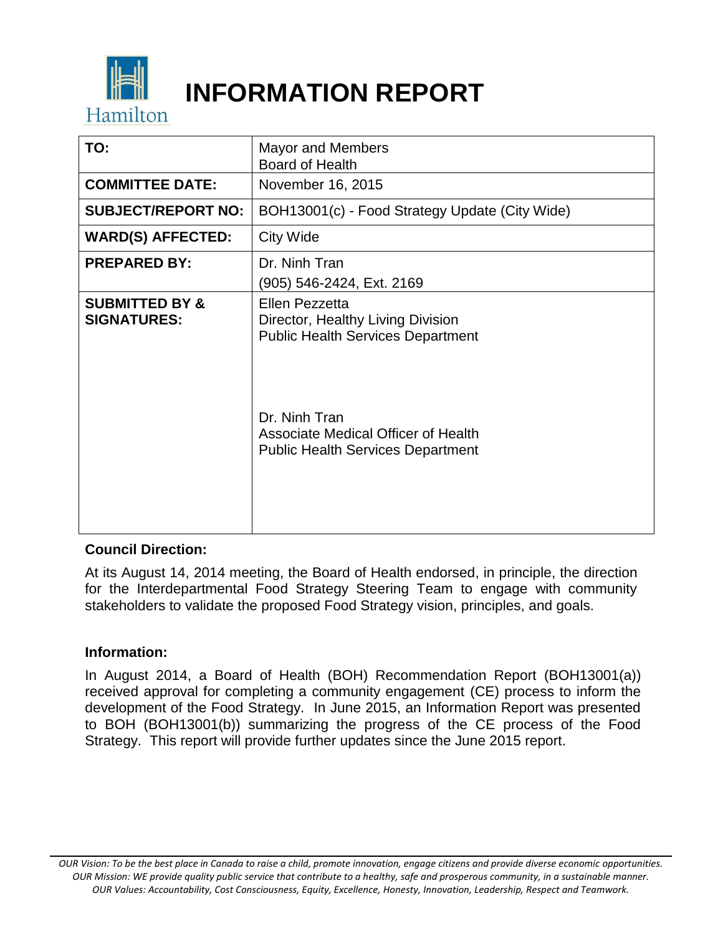

# **INFORMATION REPORT**

| TO:                                             | <b>Mayor and Members</b><br>Board of Health                                                                                                                                                         |
|-------------------------------------------------|-----------------------------------------------------------------------------------------------------------------------------------------------------------------------------------------------------|
| <b>COMMITTEE DATE:</b>                          | November 16, 2015                                                                                                                                                                                   |
| <b>SUBJECT/REPORT NO:</b>                       | BOH13001(c) - Food Strategy Update (City Wide)                                                                                                                                                      |
| <b>WARD(S) AFFECTED:</b>                        | <b>City Wide</b>                                                                                                                                                                                    |
| <b>PREPARED BY:</b>                             | Dr. Ninh Tran<br>(905) 546-2424, Ext. 2169                                                                                                                                                          |
| <b>SUBMITTED BY &amp;</b><br><b>SIGNATURES:</b> | Ellen Pezzetta<br>Director, Healthy Living Division<br><b>Public Health Services Department</b><br>Dr. Ninh Tran<br>Associate Medical Officer of Health<br><b>Public Health Services Department</b> |

## **Council Direction:**

At its August 14, 2014 meeting, the Board of Health endorsed, in principle, the direction for the Interdepartmental Food Strategy Steering Team to engage with community stakeholders to validate the proposed Food Strategy vision, principles, and goals.

#### **Information:**

In August 2014, a Board of Health (BOH) Recommendation Report (BOH13001(a)) received approval for completing a community engagement (CE) process to inform the development of the Food Strategy. In June 2015, an Information Report was presented to BOH (BOH13001(b)) summarizing the progress of the CE process of the Food Strategy. This report will provide further updates since the June 2015 report.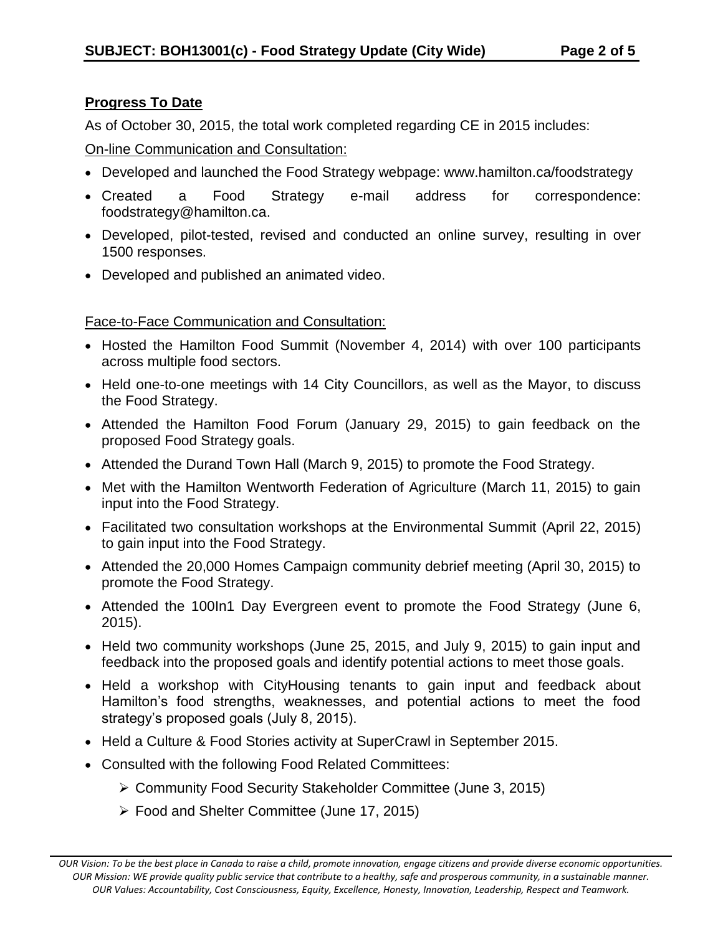# **Progress To Date**

As of October 30, 2015, the total work completed regarding CE in 2015 includes:

On-line Communication and Consultation:

- Developed and launched the Food Strategy webpage: www.hamilton.ca/foodstrategy
- Created a Food Strategy e-mail address for correspondence: foodstrategy@hamilton.ca.
- Developed, pilot-tested, revised and conducted an online survey, resulting in over 1500 responses.
- Developed and published an animated video.

# Face-to-Face Communication and Consultation:

- Hosted the Hamilton Food Summit (November 4, 2014) with over 100 participants across multiple food sectors.
- Held one-to-one meetings with 14 City Councillors, as well as the Mayor, to discuss the Food Strategy.
- Attended the Hamilton Food Forum (January 29, 2015) to gain feedback on the proposed Food Strategy goals.
- Attended the Durand Town Hall (March 9, 2015) to promote the Food Strategy.
- Met with the Hamilton Wentworth Federation of Agriculture (March 11, 2015) to gain input into the Food Strategy.
- Facilitated two consultation workshops at the Environmental Summit (April 22, 2015) to gain input into the Food Strategy.
- Attended the 20,000 Homes Campaign community debrief meeting (April 30, 2015) to promote the Food Strategy.
- Attended the 100ln1 Day Evergreen event to promote the Food Strategy (June 6, 2015).
- Held two community workshops (June 25, 2015, and July 9, 2015) to gain input and feedback into the proposed goals and identify potential actions to meet those goals.
- Held a workshop with CityHousing tenants to gain input and feedback about Hamilton's food strengths, weaknesses, and potential actions to meet the food strategy's proposed goals (July 8, 2015).
- Held a Culture & Food Stories activity at SuperCrawl in September 2015.
- Consulted with the following Food Related Committees:
	- Community Food Security Stakeholder Committee (June 3, 2015)
	- Food and Shelter Committee (June 17, 2015)

*OUR Vision: To be the best place in Canada to raise a child, promote innovation, engage citizens and provide diverse economic opportunities. OUR Mission: WE provide quality public service that contribute to a healthy, safe and prosperous community, in a sustainable manner. OUR Values: Accountability, Cost Consciousness, Equity, Excellence, Honesty, Innovation, Leadership, Respect and Teamwork.*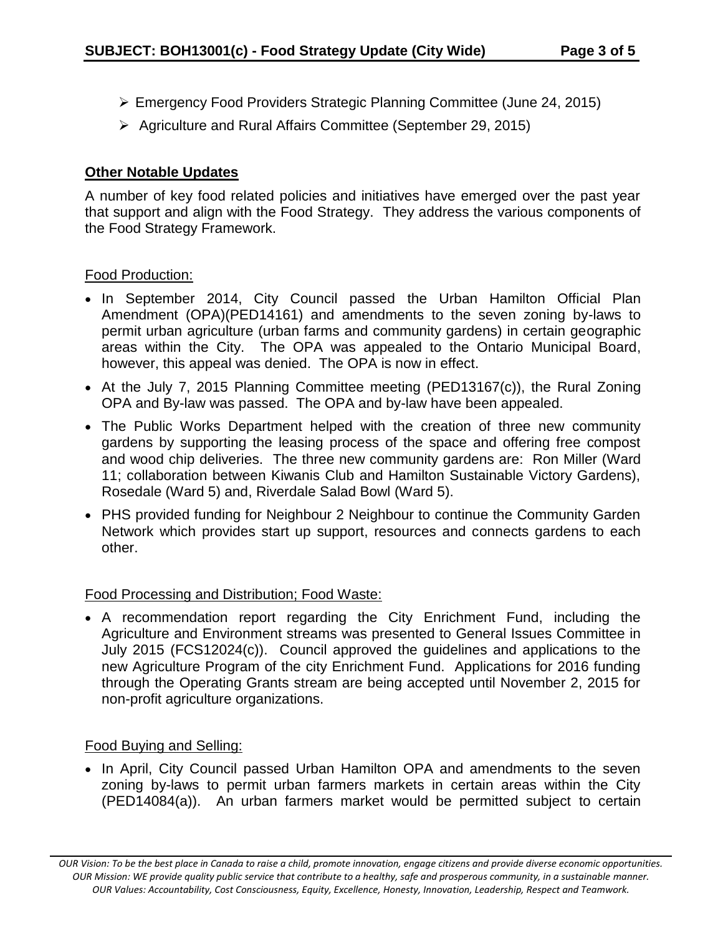- Emergency Food Providers Strategic Planning Committee (June 24, 2015)
- Agriculture and Rural Affairs Committee (September 29, 2015)

### **Other Notable Updates**

A number of key food related policies and initiatives have emerged over the past year that support and align with the Food Strategy. They address the various components of the Food Strategy Framework.

#### Food Production:

- In September 2014, City Council passed the Urban Hamilton Official Plan Amendment (OPA)(PED14161) and amendments to the seven zoning by-laws to permit urban agriculture (urban farms and community gardens) in certain geographic areas within the City. The OPA was appealed to the Ontario Municipal Board, however, this appeal was denied. The OPA is now in effect.
- At the July 7, 2015 Planning Committee meeting (PED13167(c)), the Rural Zoning OPA and By-law was passed. The OPA and by-law have been appealed.
- The Public Works Department helped with the creation of three new community gardens by supporting the leasing process of the space and offering free compost and wood chip deliveries. The three new community gardens are: Ron Miller (Ward 11; collaboration between Kiwanis Club and Hamilton Sustainable Victory Gardens), Rosedale (Ward 5) and, Riverdale Salad Bowl (Ward 5).
- PHS provided funding for Neighbour 2 Neighbour to continue the Community Garden Network which provides start up support, resources and connects gardens to each other.

## Food Processing and Distribution; Food Waste:

 A recommendation report regarding the City Enrichment Fund, including the Agriculture and Environment streams was presented to General Issues Committee in July 2015 (FCS12024(c)). Council approved the guidelines and applications to the new Agriculture Program of the city Enrichment Fund. Applications for 2016 funding through the Operating Grants stream are being accepted until November 2, 2015 for non-profit agriculture organizations.

## Food Buying and Selling:

• In April, City Council passed Urban Hamilton OPA and amendments to the seven zoning by-laws to permit urban farmers markets in certain areas within the City (PED14084(a)). An urban farmers market would be permitted subject to certain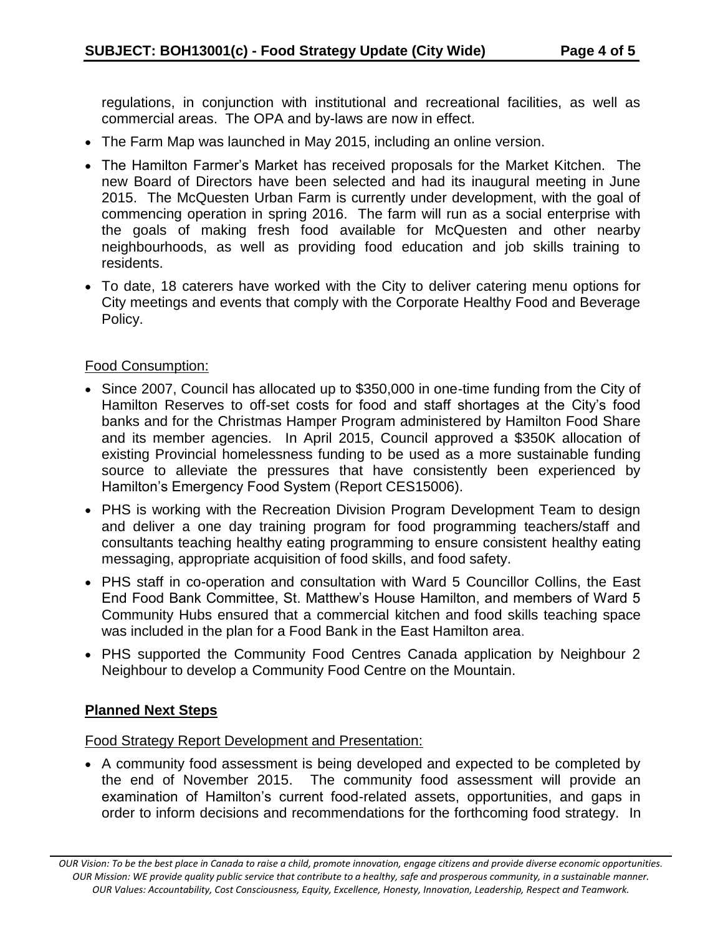regulations, in conjunction with institutional and recreational facilities, as well as commercial areas. The OPA and by-laws are now in effect.

- The Farm Map was launched in May 2015, including an online version.
- The Hamilton Farmer's Market has received proposals for the Market Kitchen. The new Board of Directors have been selected and had its inaugural meeting in June 2015. The McQuesten Urban Farm is currently under development, with the goal of commencing operation in spring 2016. The farm will run as a social enterprise with the goals of making fresh food available for McQuesten and other nearby neighbourhoods, as well as providing food education and job skills training to residents.
- To date, 18 caterers have worked with the City to deliver catering menu options for City meetings and events that comply with the Corporate Healthy Food and Beverage Policy.

#### Food Consumption:

- Since 2007, Council has allocated up to \$350,000 in one-time funding from the City of Hamilton Reserves to off-set costs for food and staff shortages at the City's food banks and for the Christmas Hamper Program administered by Hamilton Food Share and its member agencies. In April 2015, Council approved a \$350K allocation of existing Provincial homelessness funding to be used as a more sustainable funding source to alleviate the pressures that have consistently been experienced by Hamilton's Emergency Food System (Report CES15006).
- PHS is working with the Recreation Division Program Development Team to design and deliver a one day training program for food programming teachers/staff and consultants teaching healthy eating programming to ensure consistent healthy eating messaging, appropriate acquisition of food skills, and food safety.
- PHS staff in co-operation and consultation with Ward 5 Councillor Collins, the East End Food Bank Committee, St. Matthew's House Hamilton, and members of Ward 5 Community Hubs ensured that a commercial kitchen and food skills teaching space was included in the plan for a Food Bank in the East Hamilton area.
- PHS supported the Community Food Centres Canada application by Neighbour 2 Neighbour to develop a Community Food Centre on the Mountain.

# **Planned Next Steps**

Food Strategy Report Development and Presentation:

 A community food assessment is being developed and expected to be completed by the end of November 2015. The community food assessment will provide an examination of Hamilton's current food-related assets, opportunities, and gaps in order to inform decisions and recommendations for the forthcoming food strategy. In